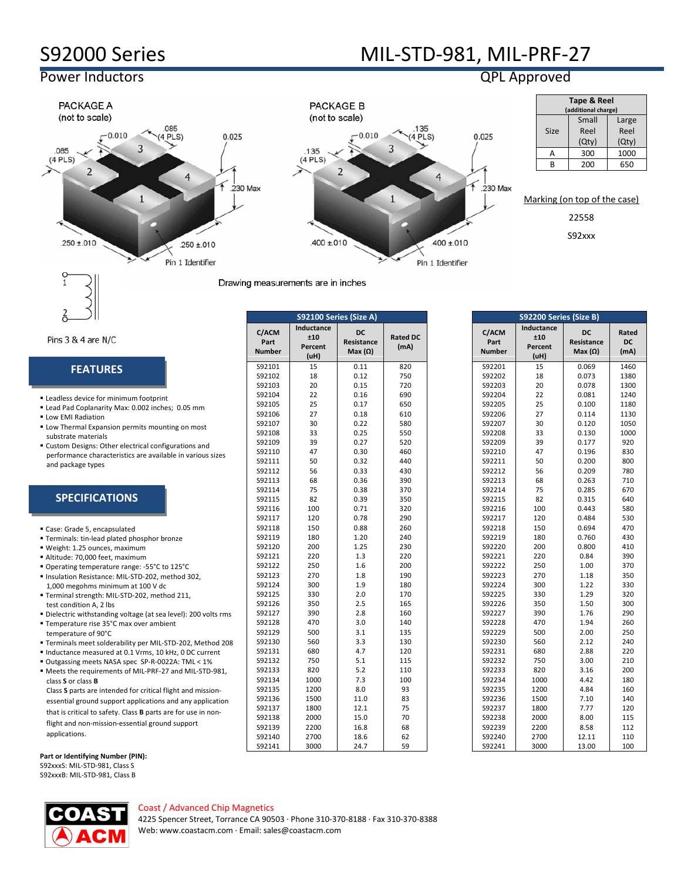$-0.010$ 

 $\overline{3}$ 

 $\overline{\mathbf{A}}$ 

 $.250 \pm .010$ Pin 1 Identifier

# S92000 Series MIL-STD-981, MIL-PRF-27

## Power Inductors QPL Approved

PACKAGE A

(not to scale)

 $\overline{2}$ 

.085

 $(4$  PLS $)$ 



230 Max



|             | Tape & Reel<br>(additional charge) |               |
|-------------|------------------------------------|---------------|
| <b>Size</b> | Small<br>Reel                      | Large<br>Reel |
|             | (Qty)                              | (Qty)         |
| Δ           | 300                                | 1000          |
| R           | 200                                | 650           |

Marking (on top of the case)

22558

S92xxx

 $.250 \pm .010$ 

#### Pins 3 & 4 are N/C

### **FEATURES**

- **Leadless device for minimum footprint**
- Lead Pad Coplanarity Max: 0.002 inches; 0.05 mm
- **Low EMI Radiation**
- **Low Thermal Expansion permits mounting on most** substrate materials
- Custom Designs: Other electrical configurations and performance characteristics are available in various sizes and package types

### **SPECIFICATIONS**

| Case: Grade 5, encapsulated |  |
|-----------------------------|--|
|-----------------------------|--|

- **Terminals: tin-lead plated phosphor bronze**
- Weight: 1.25 ounces, maximum
- Altitude: 70,000 feet, maximum
- Operating temperature range: -55°C to 125°C Insulation Resistance: MIL-STD-202, method 302,
- 1,000 megohms minimum at 100 V dc Terminal strength: MIL-STD-202, method 211,
- test condition A, 2 lbs
- Dielectric withstanding voltage (at sea level): 200 volts rms
- Temperature rise 35°C max over ambient temperature of 90°C
- Terminals meet solderability per MIL-STD-202, Method 208
- Inductance measured at 0.1 Vrms, 10 kHz, 0 DC current
- Outgassing meets NASA spec SP-R-0022A: TML < 1% Meets the requirements of MIL-PRF-27 and MIL-STD-981,
- class **S** or class **B** Class **S** parts are intended for critical flight and mission-

essential ground support applications and any application that is critical to safety. Class **B** parts are for use in nonflight and non-mission-essential ground support applications.

**Part or Identifying Number (PIN):**

S92xxxS: MIL-STD-981, Class S S92xxxB: MIL-STD-981, Class B

| <b>Number</b> | (uH) | Max $(\Omega)$ |     |
|---------------|------|----------------|-----|
| S92101        | 15   | 0.11           | 820 |
| S92102        | 18   | 0.12           | 750 |
| S92103        | 20   | 0.15           | 720 |
| S92104        | 22   | 0.16           | 690 |
| S92105        | 25   | 0.17           | 650 |
| S92106        | 27   | 0.18           | 610 |
| S92107        | 30   | 0.22           | 580 |
| S92108        | 33   | 0.25           | 550 |
| S92109        | 39   | 0.27           | 520 |
| S92110        | 47   | 0.30           | 460 |
| S92111        | 50   | 0.32           | 440 |
| S92112        | 56   | 0.33           | 430 |
| S92113        | 68   | 0.36           | 390 |
| S92114        | 75   | 0.38           | 370 |
| S92115        | 82   | 0.39           | 350 |
| S92116        | 100  | 0.71           | 320 |
| S92117        | 120  | 0.78           | 290 |
| S92118        | 150  | 0.88           | 260 |
| S92119        | 180  | 1.20           | 240 |
| S92120        | 200  | 1.25           | 230 |
| S92121        | 220  | 1.3            | 220 |
| S92122        | 250  | 1.6            | 200 |
| S92123        | 270  | 1.8            | 190 |
| S92124        | 300  | 1.9            | 180 |
| S92125        | 330  | 2.0            | 170 |
| S92126        | 350  | 2.5            | 165 |
| S92127        | 390  | 2.8            | 160 |
| S92128        | 470  | 3.0            | 140 |
| S92129        | 500  | 3.1            | 135 |
| S92130        | 560  | 3.3            | 130 |
| S92131        | 680  | 4.7            | 120 |
| S92132        | 750  | 5.1            | 115 |
| S92133        | 820  | 5.2            | 110 |
| S92134        | 1000 | 7.3            | 100 |
| S92135        | 1200 | 8.0            | 93  |
| S92136        | 1500 | 11.0           | 83  |
| S92137        | 1800 | 12.1           | 75  |
| S92138        | 2000 | 15.0           | 70  |
| S92139        | 2200 | 16.8           | 68  |
| \$92140       | 2700 | 186            | 62  |

**S92100 Series (Size A) S92200 Series (Size B)**

Drawing measurements are in inches

|                                | S92100 Series (Size A)               |                                          |                         |                                | S92200 Series (Size B)               |                                           |                     |
|--------------------------------|--------------------------------------|------------------------------------------|-------------------------|--------------------------------|--------------------------------------|-------------------------------------------|---------------------|
| C/ACM<br>Part<br><b>Number</b> | Inductance<br>±10<br>Percent<br>(uH) | <b>DC</b><br>Resistance<br>$Max(\Omega)$ | <b>Rated DC</b><br>(mA) | C/ACM<br>Part<br><b>Number</b> | Inductance<br>±10<br>Percent<br>(uH) | <b>DC</b><br>Resistance<br>Max $(\Omega)$ | Rated<br>DC<br>(mA) |
| S92101                         | 15                                   | 0.11                                     | 820                     | S92201                         | 15                                   | 0.069                                     | 1460                |
| S92102                         | 18                                   | 0.12                                     | 750                     | S92202                         | 18                                   | 0.073                                     | 1380                |
| S92103                         | 20                                   | 0.15                                     | 720                     | S92203                         | 20                                   | 0.078                                     | 1300                |
| S92104                         | 22                                   | 0.16                                     | 690                     | S92204                         | 22                                   | 0.081                                     | 1240                |
| S92105                         | 25                                   | 0.17                                     | 650                     | S92205                         | 25                                   | 0.100                                     | 1180                |
| S92106                         | 27                                   | 0.18                                     | 610                     | S92206                         | 27                                   | 0.114                                     | 1130                |
| S92107                         | 30                                   | 0.22                                     | 580                     | S92207                         | 30                                   | 0.120                                     | 1050                |
| S92108                         | 33                                   | 0.25                                     | 550                     | S92208                         | 33                                   | 0.130                                     | 1000                |
| S92109                         | 39                                   | 0.27                                     | 520                     | S92209                         | 39                                   | 0.177                                     | 920                 |
| S92110                         | 47                                   | 0.30                                     | 460                     | S92210                         | 47                                   | 0.196                                     | 830                 |
| S92111                         | 50                                   | 0.32                                     | 440                     | S92211                         | 50                                   | 0.200                                     | 800                 |
| S92112                         | 56                                   | 0.33                                     | 430                     | S92212                         | 56                                   | 0.209                                     | 780                 |
| S92113                         | 68                                   | 0.36                                     | 390                     | S92213                         | 68                                   | 0.263                                     | 710                 |
| S92114                         | 75                                   | 0.38                                     | 370                     | S92214                         | 75                                   | 0.285                                     | 670                 |
| S92115                         | 82                                   | 0.39                                     | 350                     | S92215                         | 82                                   | 0.315                                     | 640                 |
| S92116                         | 100                                  | 0.71                                     | 320                     | S92216                         | 100                                  | 0.443                                     | 580                 |
| S92117                         | 120                                  | 0.78                                     | 290                     | S92217                         | 120                                  | 0.484                                     | 530                 |
| S92118                         | 150                                  | 0.88                                     | 260                     | S92218                         | 150                                  | 0.694                                     | 470                 |
| S92119                         | 180                                  | 1.20                                     | 240                     | S92219                         | 180                                  | 0.760                                     | 430                 |
| S92120                         | 200                                  | 1.25                                     | 230                     | S92220                         | 200                                  | 0.800                                     | 410                 |
| S92121                         | 220                                  | 1.3                                      | 220                     | S92221                         | 220                                  | 0.84                                      | 390                 |
| S92122                         | 250                                  | 1.6                                      | 200                     | S92222                         | 250                                  | 1.00                                      | 370                 |
| S92123                         | 270                                  | 1.8                                      | 190                     | S92223                         | 270                                  | 1.18                                      | 350                 |
| S92124                         | 300                                  | 1.9                                      | 180                     | S92224                         | 300                                  | 1.22                                      | 330                 |
| S92125                         | 330                                  | 2.0                                      | 170                     | S92225                         | 330                                  | 1.29                                      | 320                 |
| S92126                         | 350                                  | 2.5                                      | 165                     | S92226                         | 350                                  | 1.50                                      | 300                 |
| S92127                         | 390                                  | 2.8                                      | 160                     | S92227                         | 390                                  | 1.76                                      | 290                 |
| S92128                         | 470                                  | 3.0                                      | 140                     | S92228                         | 470                                  | 1.94                                      | 260                 |
| S92129                         | 500                                  | 3.1                                      | 135                     | S92229                         | 500                                  | 2.00                                      | 250                 |
| S92130                         | 560                                  | 3.3                                      | 130                     | S92230                         | 560                                  | 2.12                                      | 240                 |
| S92131                         | 680                                  | 4.7                                      | 120                     | S92231                         | 680                                  | 2.88                                      | 220                 |
| S92132                         | 750                                  | 5.1                                      | 115                     | S92232                         | 750                                  | 3.00                                      | 210                 |
| S92133                         | 820                                  | 5.2                                      | 110                     | S92233                         | 820                                  | 3.16                                      | 200                 |
| S92134                         | 1000                                 | 7.3                                      | 100                     | S92234                         | 1000                                 | 4.42                                      | 180                 |
| S92135                         | 1200                                 | 8.0                                      | 93                      | S92235                         | 1200                                 | 4.84                                      | 160                 |
| S92136                         | 1500                                 | 11.0                                     | 83                      | S92236                         | 1500                                 | 7.10                                      | 140                 |
| S92137                         | 1800                                 | 12.1                                     | 75                      | S92237                         | 1800                                 | 7.77                                      | 120                 |
| S92138                         | 2000                                 | 15.0                                     | 70                      | S92238                         | 2000                                 | 8.00                                      | 115                 |
| S92139                         | 2200                                 | 16.8                                     | 68                      | S92239                         | 2200                                 | 8.58                                      | 112                 |
| S92140                         | 2700                                 | 18.6                                     | 62                      | S92240                         | 2700                                 | 12.11                                     | 110                 |
| S92141                         | 3000                                 | 24.7                                     | 59                      | S92241                         | 3000                                 | 13.00                                     | 100                 |

Coast / Advanced Chip Magnetics

4225 Spencer Street, Torrance CA 90503 · Phone 310-370-8188 · Fax 310-370-8388 Web[: www.coastacm.com](http://www.coastacm.com/) · Email: sales@coastacm.com